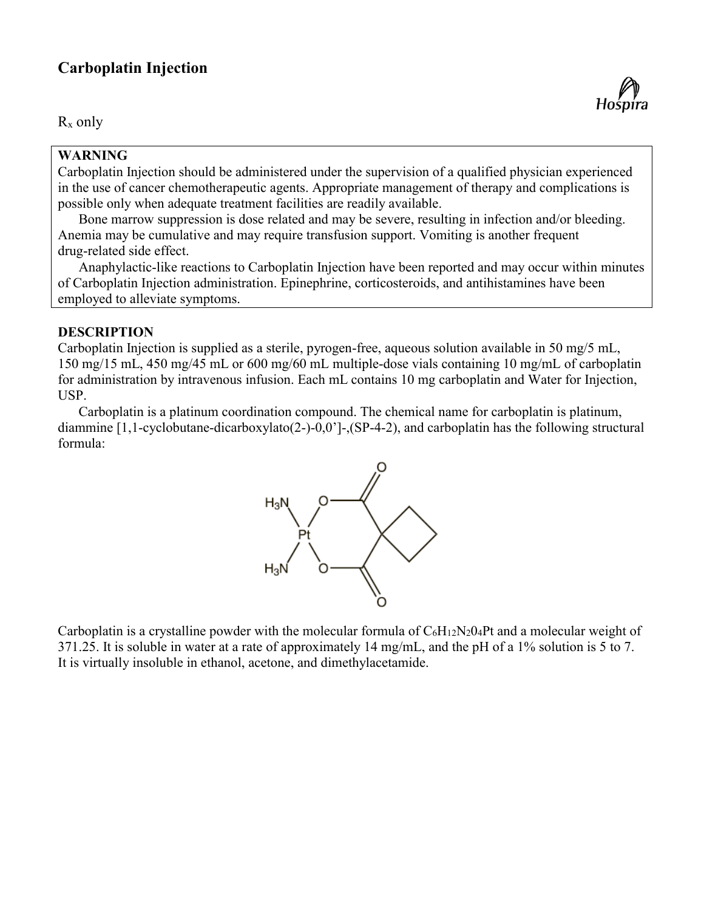## **Carboplatin Injection**

R<sup>x</sup> only



Carboplatin Injection should be administered under the supervision of a qualified physician experienced in the use of cancer chemotherapeutic agents. Appropriate management of therapy and complications is possible only when adequate treatment facilities are readily available.

Bone marrow suppression is dose related and may be severe, resulting in infection and/or bleeding. Anemia may be cumulative and may require transfusion support. Vomiting is another frequent drug-related side effect.

Anaphylactic-like reactions to Carboplatin Injection have been reported and may occur within minutes of Carboplatin Injection administration. Epinephrine, corticosteroids, and antihistamines have been employed to alleviate symptoms.

#### **DESCRIPTION**

Carboplatin Injection is supplied as a sterile, pyrogen-free, aqueous solution available in 50 mg/5 mL, 150 mg/15 mL, 450 mg/45 mL or 600 mg/60 mL multiple-dose vials containing 10 mg/mL of carboplatin for administration by intravenous infusion. Each mL contains 10 mg carboplatin and Water for Injection, USP.

Carboplatin is a platinum coordination compound. The chemical name for carboplatin is platinum, diammine [1,1-cyclobutane-dicarboxylato(2-)-0,0']-,(SP-4-2), and carboplatin has the following structural formula:



Carboplatin is a crystalline powder with the molecular formula of  $C_6H_{12}N_2O_4Pt$  and a molecular weight of 371.25. It is soluble in water at a rate of approximately 14 mg/mL, and the pH of a 1% solution is 5 to 7. It is virtually insoluble in ethanol, acetone, and dimethylacetamide.

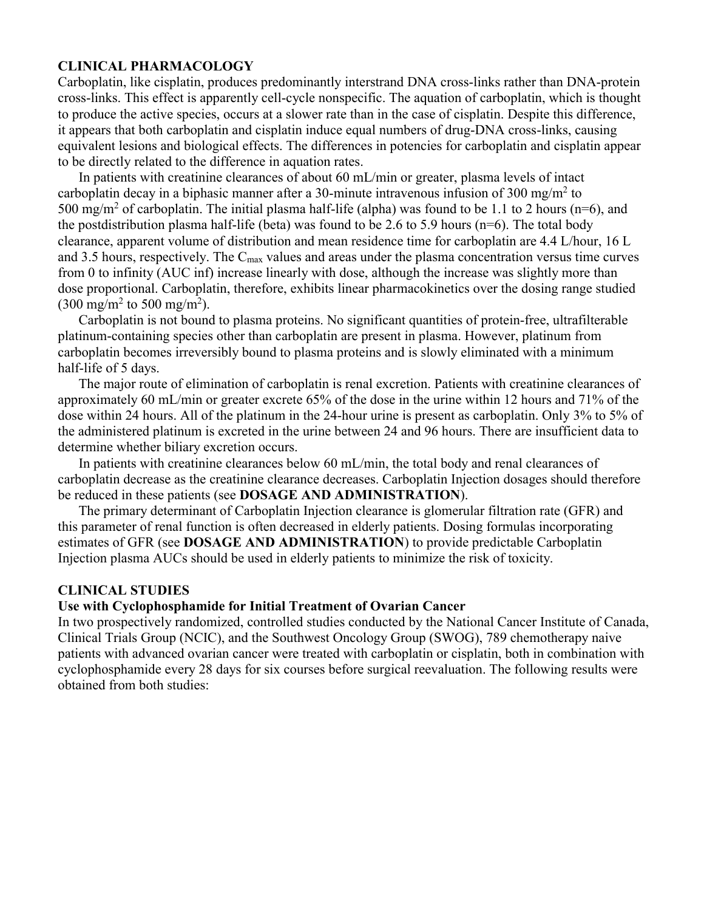### **CLINICAL PHARMACOLOGY**

Carboplatin, like cisplatin, produces predominantly interstrand DNA cross-links rather than DNA-protein cross-links. This effect is apparently cell-cycle nonspecific. The aquation of carboplatin, which is thought to produce the active species, occurs at a slower rate than in the case of cisplatin. Despite this difference, it appears that both carboplatin and cisplatin induce equal numbers of drug-DNA cross-links, causing equivalent lesions and biological effects. The differences in potencies for carboplatin and cisplatin appear to be directly related to the difference in aquation rates.

In patients with creatinine clearances of about 60 mL/min or greater, plasma levels of intact carboplatin decay in a biphasic manner after a 30-minute intravenous infusion of 300 mg/m<sup>2</sup> to 500 mg/m<sup>2</sup> of carboplatin. The initial plasma half-life (alpha) was found to be 1.1 to 2 hours (n=6), and the postdistribution plasma half-life (beta) was found to be 2.6 to 5.9 hours ( $n=6$ ). The total body clearance, apparent volume of distribution and mean residence time for carboplatin are 4.4 L/hour, 16 L and 3.5 hours, respectively. The  $C_{\text{max}}$  values and areas under the plasma concentration versus time curves from 0 to infinity (AUC inf) increase linearly with dose, although the increase was slightly more than dose proportional. Carboplatin, therefore, exhibits linear pharmacokinetics over the dosing range studied  $(300 \text{ mg/m}^2 \text{ to } 500 \text{ mg/m}^2).$ 

Carboplatin is not bound to plasma proteins. No significant quantities of protein-free, ultrafilterable platinum-containing species other than carboplatin are present in plasma. However, platinum from carboplatin becomes irreversibly bound to plasma proteins and is slowly eliminated with a minimum half-life of 5 days.

The major route of elimination of carboplatin is renal excretion. Patients with creatinine clearances of approximately 60 mL/min or greater excrete 65% of the dose in the urine within 12 hours and 71% of the dose within 24 hours. All of the platinum in the 24-hour urine is present as carboplatin. Only 3% to 5% of the administered platinum is excreted in the urine between 24 and 96 hours. There are insufficient data to determine whether biliary excretion occurs.

In patients with creatinine clearances below 60 mL/min, the total body and renal clearances of carboplatin decrease as the creatinine clearance decreases. Carboplatin Injection dosages should therefore be reduced in these patients (see **DOSAGE AND ADMINISTRATION**).

The primary determinant of Carboplatin Injection clearance is glomerular filtration rate (GFR) and this parameter of renal function is often decreased in elderly patients. Dosing formulas incorporating estimates of GFR (see **DOSAGE AND ADMINISTRATION**) to provide predictable Carboplatin Injection plasma AUCs should be used in elderly patients to minimize the risk of toxicity.

### **CLINICAL STUDIES**

## **Use with Cyclophosphamide for Initial Treatment of Ovarian Cancer**

In two prospectively randomized, controlled studies conducted by the National Cancer Institute of Canada, Clinical Trials Group (NCIC), and the Southwest Oncology Group (SWOG), 789 chemotherapy naive patients with advanced ovarian cancer were treated with carboplatin or cisplatin, both in combination with cyclophosphamide every 28 days for six courses before surgical reevaluation. The following results were obtained from both studies: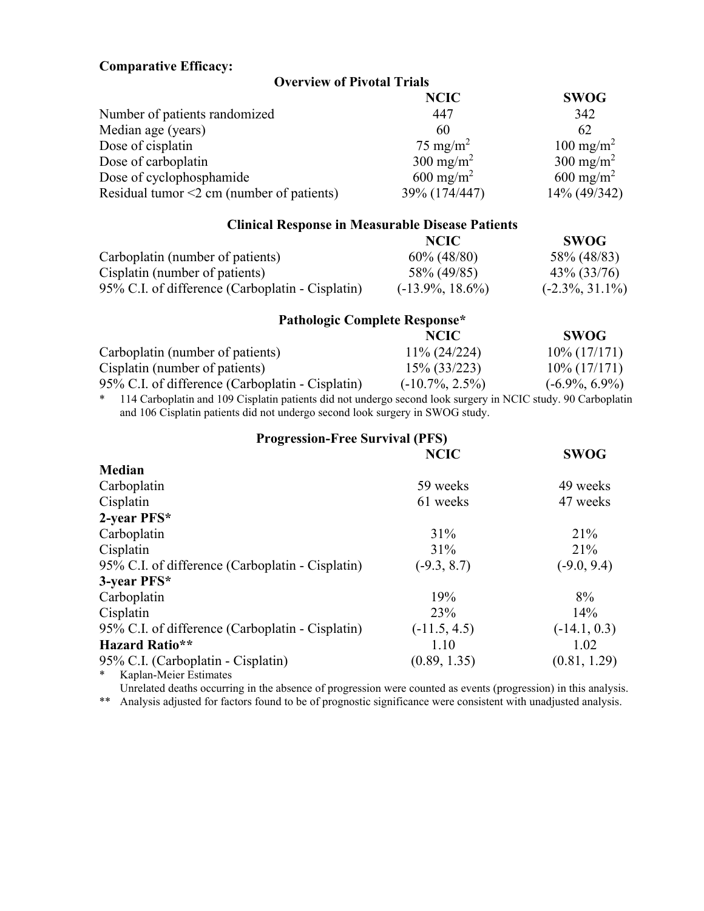# **Comparative Efficacy:**

| <b>Overview of Pivotal Trials</b>                                                                                                                                                             |                         |                      |
|-----------------------------------------------------------------------------------------------------------------------------------------------------------------------------------------------|-------------------------|----------------------|
|                                                                                                                                                                                               | <b>NCIC</b>             | <b>SWOG</b>          |
| Number of patients randomized                                                                                                                                                                 | 447                     | 342                  |
| Median age (years)                                                                                                                                                                            | 60                      | 62                   |
| Dose of cisplatin                                                                                                                                                                             | $75 \text{ mg/m}^2$     | $100 \text{ mg/m}^2$ |
| Dose of carboplatin                                                                                                                                                                           | $300 \text{ mg/m}^2$    | $300 \text{ mg/m}^2$ |
| Dose of cyclophosphamide                                                                                                                                                                      | $600$ mg/m <sup>2</sup> | $600 \text{ mg/m}^2$ |
| Residual tumor <2 cm (number of patients)                                                                                                                                                     | 39% (174/447)           | 14% (49/342)         |
| <b>Clinical Response in Measurable Disease Patients</b>                                                                                                                                       |                         |                      |
|                                                                                                                                                                                               | <b>NCIC</b>             | <b>SWOG</b>          |
| Carboplatin (number of patients)                                                                                                                                                              | 60% (48/80)             | 58% (48/83)          |
| Cisplatin (number of patients)                                                                                                                                                                | 58% (49/85)             | 43% (33/76)          |
| 95% C.I. of difference (Carboplatin - Cisplatin)                                                                                                                                              | $(-13.9\%, 18.6\%)$     | $(-2.3\%, 31.1\%)$   |
| Pathologic Complete Response*                                                                                                                                                                 |                         |                      |
|                                                                                                                                                                                               | <b>NCIC</b>             | <b>SWOG</b>          |
| Carboplatin (number of patients)                                                                                                                                                              | 11% (24/224)            | $10\% (17/171)$      |
| Cisplatin (number of patients)                                                                                                                                                                | 15% (33/223)            | $10\% (17/171)$      |
| 95% C.I. of difference (Carboplatin - Cisplatin)                                                                                                                                              | $(-10.7\%, 2.5\%)$      | $(-6.9\%, 6.9\%)$    |
| 114 Carboplatin and 109 Cisplatin patients did not undergo second look surgery in NCIC study. 90 Carboplatin<br>and 106 Cisplatin patients did not undergo second look surgery in SWOG study. |                         |                      |
| <b>Progression-Free Survival (PFS)</b>                                                                                                                                                        |                         |                      |
|                                                                                                                                                                                               | <b>NCIC</b>             | <b>SWOG</b>          |
| <b>Median</b>                                                                                                                                                                                 |                         |                      |
| Carboplatin                                                                                                                                                                                   | 59 weeks                | 49 weeks             |
| Cisplatin                                                                                                                                                                                     | 61 weeks                | 47 weeks             |
| 2-year PFS*                                                                                                                                                                                   |                         |                      |
| Carboplatin                                                                                                                                                                                   | 31%                     | 21%                  |
| Cisplatin                                                                                                                                                                                     | 31%                     | 21%                  |
| 95% C.I. of difference (Carboplatin - Cisplatin)                                                                                                                                              | $(-9.3, 8.7)$           | $(-9.0, 9.4)$        |
| 3-year PFS*                                                                                                                                                                                   |                         |                      |
| Carboplatin                                                                                                                                                                                   | 19%                     | 8%                   |
| Cisplatin                                                                                                                                                                                     | 23%                     | 14%                  |
| 95% C.I. of difference (Carboplatin - Cisplatin)                                                                                                                                              | $(-11.5, 4.5)$          | $(-14.1, 0.3)$       |
| <b>Hazard Ratio**</b>                                                                                                                                                                         | 1.10                    | 1.02                 |
| 95% C.I. (Carboplatin - Cisplatin)                                                                                                                                                            | (0.89, 1.35)            | (0.81, 1.29)         |

\* Kaplan-Meier Estimates

Unrelated deaths occurring in the absence of progression were counted as events (progression) in this analysis. \*\* Analysis adjusted for factors found to be of prognostic significance were consistent with unadjusted analysis.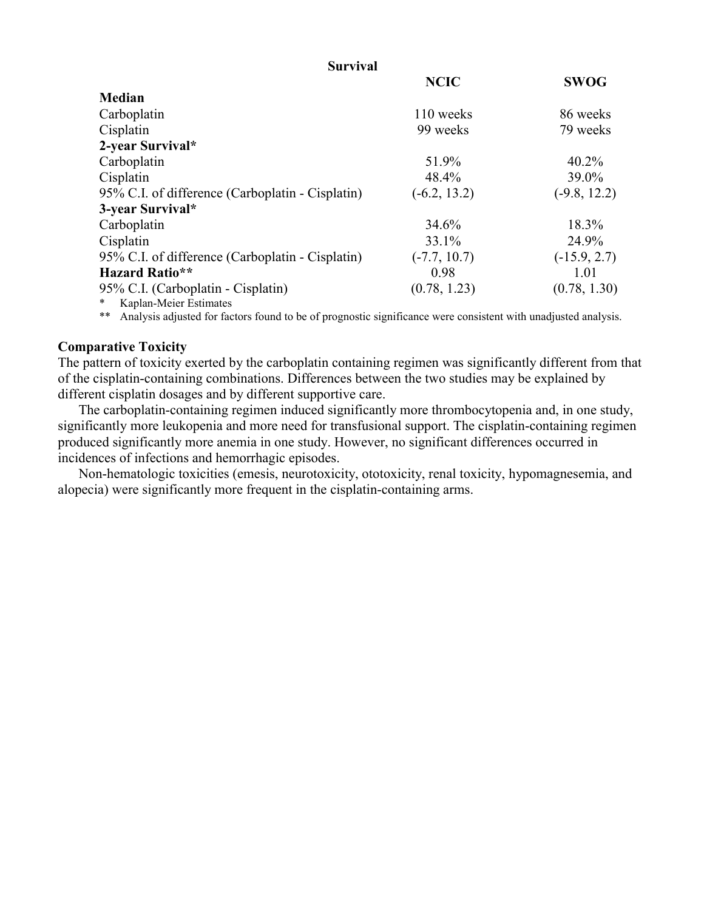| <b>Survival</b>                                  |                |                |
|--------------------------------------------------|----------------|----------------|
|                                                  | <b>NCIC</b>    | <b>SWOG</b>    |
| <b>Median</b>                                    |                |                |
| Carboplatin                                      | 110 weeks      | 86 weeks       |
| Cisplatin                                        | 99 weeks       | 79 weeks       |
| 2-year Survival*                                 |                |                |
| Carboplatin                                      | 51.9%          | 40.2%          |
| Cisplatin                                        | 48.4%          | 39.0%          |
| 95% C.I. of difference (Carboplatin - Cisplatin) | $(-6.2, 13.2)$ | $(-9.8, 12.2)$ |
| 3-year Survival*                                 |                |                |
| Carboplatin                                      | 34.6%          | 18.3%          |
| Cisplatin                                        | 33.1%          | 24.9%          |
| 95% C.I. of difference (Carboplatin - Cisplatin) | $(-7.7, 10.7)$ | $(-15.9, 2.7)$ |
| <b>Hazard Ratio**</b>                            | 0.98           | 1.01           |
| 95% C.I. (Carboplatin - Cisplatin)               | (0.78, 1.23)   | (0.78, 1.30)   |
| $\ast$<br>Kaplan-Meier Estimates                 |                |                |

\*\* Analysis adjusted for factors found to be of prognostic significance were consistent with unadjusted analysis.

### **Comparative Toxicity**

The pattern of toxicity exerted by the carboplatin containing regimen was significantly different from that of the cisplatin-containing combinations. Differences between the two studies may be explained by different cisplatin dosages and by different supportive care.

The carboplatin-containing regimen induced significantly more thrombocytopenia and, in one study, significantly more leukopenia and more need for transfusional support. The cisplatin-containing regimen produced significantly more anemia in one study. However, no significant differences occurred in incidences of infections and hemorrhagic episodes.

Non-hematologic toxicities (emesis, neurotoxicity, ototoxicity, renal toxicity, hypomagnesemia, and alopecia) were significantly more frequent in the cisplatin-containing arms.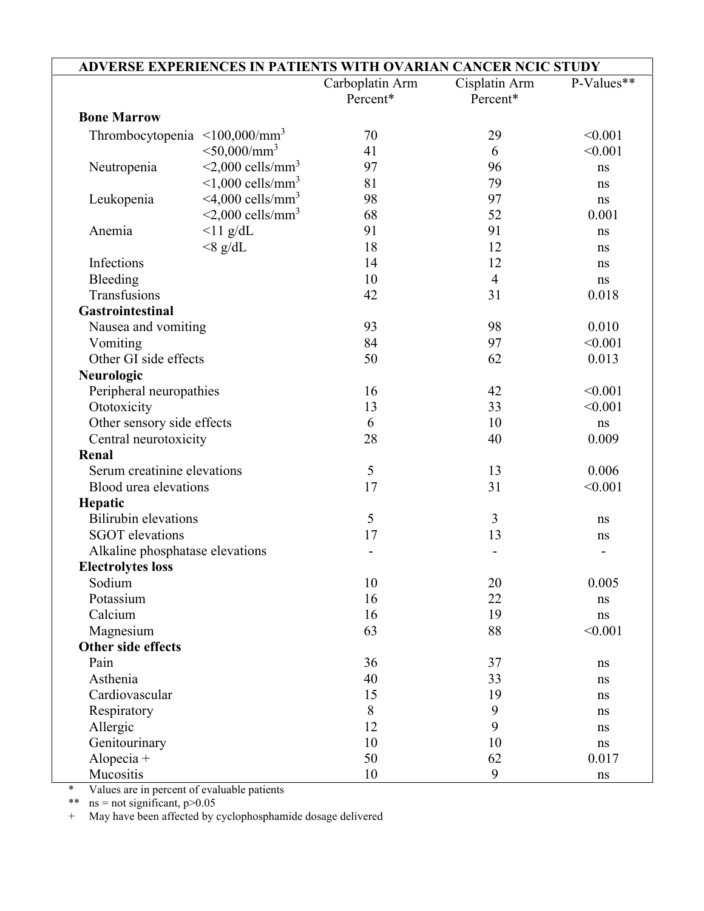| ADVERSE EXPERIENCES IN PATIENTS WITH OVARIAN CANCER NCIC STUDY |                                    |                 |                |                          |
|----------------------------------------------------------------|------------------------------------|-----------------|----------------|--------------------------|
|                                                                |                                    | Carboplatin Arm | Cisplatin Arm  | P-Values**               |
|                                                                |                                    | Percent*        | Percent*       |                          |
| <b>Bone Marrow</b>                                             |                                    |                 |                |                          |
| Thrombocytopenia <100,000/mm <sup>3</sup>                      |                                    | 70              | 29             | < 0.001                  |
|                                                                | $<$ 50,000/mm <sup>3</sup>         | 41              | 6              | < 0.001                  |
| Neutropenia                                                    | $\leq$ 2,000 cells/mm <sup>3</sup> | 97              | 96             | ns                       |
|                                                                | $\leq 1,000$ cells/mm <sup>3</sup> | 81              | 79             | ns                       |
| Leukopenia                                                     | $\leq$ 4,000 cells/mm <sup>3</sup> | 98              | 97             | ns                       |
|                                                                | $\leq 2,000$ cells/mm <sup>3</sup> | 68              | 52             | 0.001                    |
| Anemia                                                         | $\leq$ 11 g/dL                     | 91              | 91             | ns                       |
|                                                                | $<8$ g/dL                          | 18              | 12             | ns                       |
| Infections                                                     |                                    | 14              | 12             | ns                       |
| Bleeding                                                       |                                    | 10              | $\overline{4}$ | ns                       |
| Transfusions                                                   |                                    | 42              | 31             | 0.018                    |
| <b>Gastrointestinal</b>                                        |                                    |                 |                |                          |
| Nausea and vomiting                                            |                                    | 93              | 98             | 0.010                    |
| Vomiting                                                       |                                    | 84              | 97             | < 0.001                  |
| Other GI side effects                                          |                                    | 50              | 62             | 0.013                    |
| Neurologic                                                     |                                    |                 |                |                          |
| Peripheral neuropathies                                        |                                    | 16              | 42             | < 0.001                  |
| Ototoxicity                                                    |                                    | 13              | 33             | < 0.001                  |
| Other sensory side effects                                     |                                    | 6               | 10             | ns                       |
| Central neurotoxicity                                          |                                    | 28              | 40             | 0.009                    |
| Renal                                                          |                                    |                 |                |                          |
| Serum creatinine elevations                                    |                                    | 5               | 13             | 0.006                    |
| Blood urea elevations                                          |                                    | 17              | 31             | < 0.001                  |
| Hepatic                                                        |                                    |                 |                |                          |
| <b>Bilirubin elevations</b>                                    |                                    | 5               | 3              | ns                       |
| <b>SGOT</b> elevations                                         |                                    | 17              | 13             | ns                       |
| Alkaline phosphatase elevations                                |                                    |                 |                | $\overline{\phantom{a}}$ |
| <b>Electrolytes loss</b>                                       |                                    |                 |                |                          |
| Sodium                                                         |                                    | 10              | 20             | 0.005                    |
| Potassium                                                      |                                    | 16              | 22             | ns                       |
| Calcium                                                        |                                    | 16              | 19             | ns                       |
| Magnesium                                                      |                                    | 63              | 88             | < 0.001                  |
| Other side effects                                             |                                    |                 |                |                          |
| Pain                                                           |                                    | 36              | 37             | $\, \rm ns$              |
| Asthenia                                                       |                                    | 40              | 33             | ns                       |
| Cardiovascular                                                 |                                    | 15              | 19             | ns                       |
| Respiratory                                                    |                                    | 8               | 9              | ns                       |
| Allergic                                                       |                                    | 12              | 9              | $\, \rm ns$              |
| Genitourinary                                                  |                                    | 10              | 10             | ns                       |
| Alopecia +                                                     |                                    | 50              | 62             | 0.017                    |
| Mucositis                                                      |                                    | 10              | 9              | ns                       |

\* Values are in percent of evaluable patients

\*\*  $\text{ns} = \text{not significant}, \text{p} > 0.05$ 

+ May have been affected by cyclophosphamide dosage delivered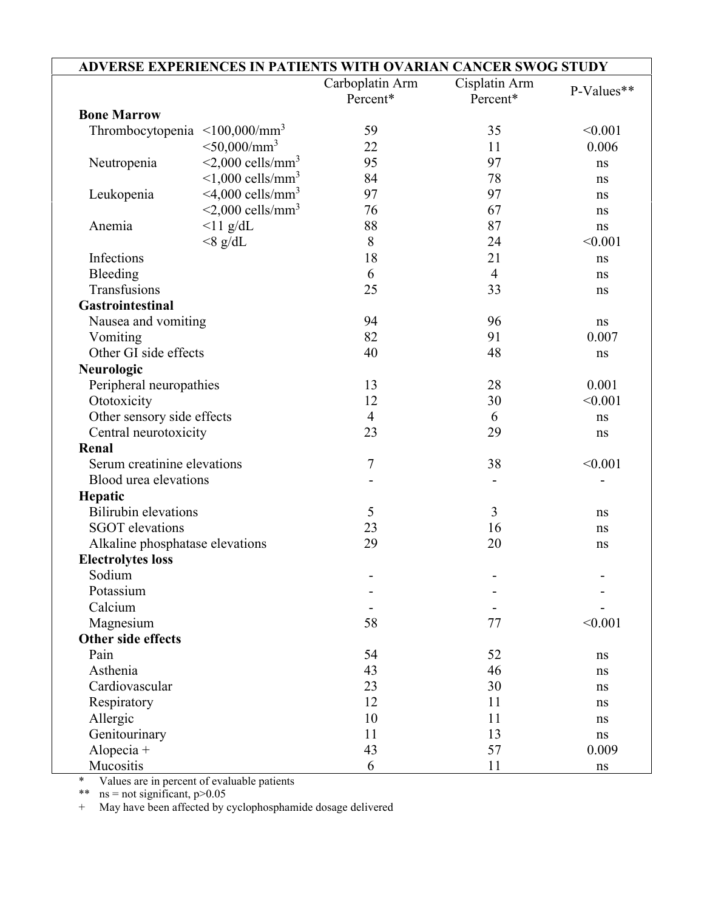|                                           |                                    | ADVERSE EXPERIENCES IN PATIENTS WITH OVARIAN CANCER SWOG STUDY |                |            |
|-------------------------------------------|------------------------------------|----------------------------------------------------------------|----------------|------------|
|                                           |                                    | Carboplatin Arm                                                | Cisplatin Arm  | P-Values** |
|                                           |                                    | Percent*                                                       | Percent*       |            |
| <b>Bone Marrow</b>                        |                                    |                                                                |                |            |
| Thrombocytopenia <100,000/mm <sup>3</sup> |                                    | 59                                                             | 35             | < 0.001    |
|                                           | $<$ 50,000/mm <sup>3</sup>         | 22                                                             | 11             | 0.006      |
| Neutropenia                               | $\leq 2,000$ cells/mm <sup>3</sup> | 95                                                             | 97             | ns         |
|                                           | $\leq 1,000$ cells/mm <sup>3</sup> | 84                                                             | 78             | ns         |
| Leukopenia                                | $\leq$ 4,000 cells/mm <sup>3</sup> | 97                                                             | 97             | ns         |
|                                           | $\leq 2,000$ cells/mm <sup>3</sup> | 76                                                             | 67             | ns         |
| Anemia                                    | $11$ g/dL                          | 88                                                             | 87             | ns         |
|                                           | $<8$ g/dL                          | 8                                                              | 24             | < 0.001    |
| Infections                                |                                    | 18                                                             | 21             | ns         |
| Bleeding                                  |                                    | 6                                                              | $\overline{4}$ | ns         |
| Transfusions                              |                                    | 25                                                             | 33             | ns         |
| Gastrointestinal                          |                                    |                                                                |                |            |
| Nausea and vomiting                       |                                    | 94                                                             | 96             | ns         |
| Vomiting                                  |                                    | 82                                                             | 91             | 0.007      |
| Other GI side effects                     |                                    | 40                                                             | 48             | ns         |
| Neurologic                                |                                    |                                                                |                |            |
| Peripheral neuropathies                   |                                    | 13                                                             | 28             | 0.001      |
| Ototoxicity                               |                                    | 12                                                             | 30             | < 0.001    |
| Other sensory side effects                |                                    | $\overline{4}$                                                 | 6              | ns         |
| Central neurotoxicity                     |                                    | 23                                                             | 29             | ns         |
| Renal                                     |                                    |                                                                |                |            |
| Serum creatinine elevations               |                                    | 7                                                              | 38             | < 0.001    |
| Blood urea elevations                     |                                    |                                                                |                |            |
| Hepatic                                   |                                    |                                                                |                |            |
| <b>Bilirubin</b> elevations               |                                    | 5                                                              | 3              | ns         |
| <b>SGOT</b> elevations                    |                                    | 23                                                             | 16             | ns         |
| Alkaline phosphatase elevations           |                                    | 29                                                             | 20             | ns         |
| <b>Electrolytes loss</b>                  |                                    |                                                                |                |            |
| Sodium                                    |                                    |                                                                |                |            |
| Potassium                                 |                                    |                                                                |                |            |
| Calcium                                   |                                    |                                                                |                |            |
| Magnesium                                 |                                    | 58                                                             | 77             | < 0.001    |
| Other side effects                        |                                    |                                                                |                |            |
| Pain                                      |                                    | 54                                                             | 52             | ns         |
| Asthenia                                  |                                    | 43                                                             | 46             | ns         |
| Cardiovascular                            |                                    | 23                                                             | 30             | ns         |
| Respiratory                               |                                    | 12                                                             | 11             | ns         |
| Allergic                                  |                                    | 10                                                             | 11             | ns         |
| Genitourinary                             |                                    | 11                                                             | 13             | $\rm ns$   |
| Alopecia +                                |                                    | 43                                                             | 57             | 0.009      |
| Mucositis                                 |                                    | 6                                                              | 11             | ns         |

\* Values are in percent of evaluable patients

\*\*  $\text{ns} = \text{not significant}, \text{p} > 0.05$ 

+ May have been affected by cyclophosphamide dosage delivered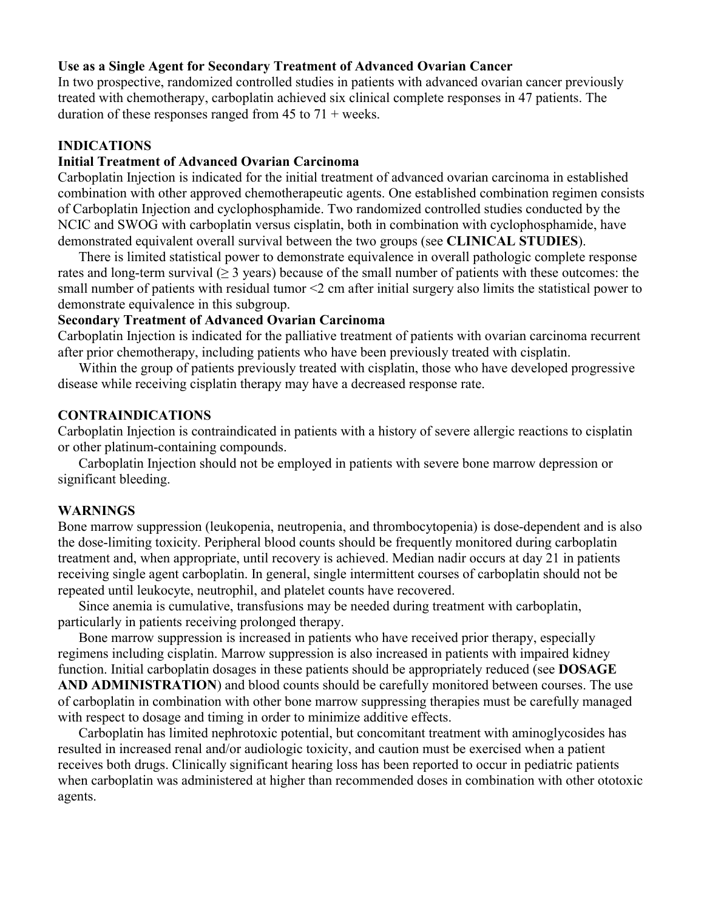#### **Use as a Single Agent for Secondary Treatment of Advanced Ovarian Cancer**

In two prospective, randomized controlled studies in patients with advanced ovarian cancer previously treated with chemotherapy, carboplatin achieved six clinical complete responses in 47 patients. The duration of these responses ranged from  $45$  to  $71 +$  weeks.

### **INDICATIONS**

#### **Initial Treatment of Advanced Ovarian Carcinoma**

Carboplatin Injection is indicated for the initial treatment of advanced ovarian carcinoma in established combination with other approved chemotherapeutic agents. One established combination regimen consists of Carboplatin Injection and cyclophosphamide. Two randomized controlled studies conducted by the NCIC and SWOG with carboplatin versus cisplatin, both in combination with cyclophosphamide, have demonstrated equivalent overall survival between the two groups (see **CLINICAL STUDIES**).

There is limited statistical power to demonstrate equivalence in overall pathologic complete response rates and long-term survival (≥ 3 years) because of the small number of patients with these outcomes: the small number of patients with residual tumor <2 cm after initial surgery also limits the statistical power to demonstrate equivalence in this subgroup.

#### **Secondary Treatment of Advanced Ovarian Carcinoma**

Carboplatin Injection is indicated for the palliative treatment of patients with ovarian carcinoma recurrent after prior chemotherapy, including patients who have been previously treated with cisplatin.

Within the group of patients previously treated with cisplatin, those who have developed progressive disease while receiving cisplatin therapy may have a decreased response rate.

#### **CONTRAINDICATIONS**

Carboplatin Injection is contraindicated in patients with a history of severe allergic reactions to cisplatin or other platinum-containing compounds.

Carboplatin Injection should not be employed in patients with severe bone marrow depression or significant bleeding.

#### **WARNINGS**

Bone marrow suppression (leukopenia, neutropenia, and thrombocytopenia) is dose-dependent and is also the dose-limiting toxicity. Peripheral blood counts should be frequently monitored during carboplatin treatment and, when appropriate, until recovery is achieved. Median nadir occurs at day 21 in patients receiving single agent carboplatin. In general, single intermittent courses of carboplatin should not be repeated until leukocyte, neutrophil, and platelet counts have recovered.

Since anemia is cumulative, transfusions may be needed during treatment with carboplatin, particularly in patients receiving prolonged therapy.

Bone marrow suppression is increased in patients who have received prior therapy, especially regimens including cisplatin. Marrow suppression is also increased in patients with impaired kidney function. Initial carboplatin dosages in these patients should be appropriately reduced (see **DOSAGE AND ADMINISTRATION**) and blood counts should be carefully monitored between courses. The use of carboplatin in combination with other bone marrow suppressing therapies must be carefully managed with respect to dosage and timing in order to minimize additive effects.

Carboplatin has limited nephrotoxic potential, but concomitant treatment with aminoglycosides has resulted in increased renal and/or audiologic toxicity, and caution must be exercised when a patient receives both drugs. Clinically significant hearing loss has been reported to occur in pediatric patients when carboplatin was administered at higher than recommended doses in combination with other ototoxic agents.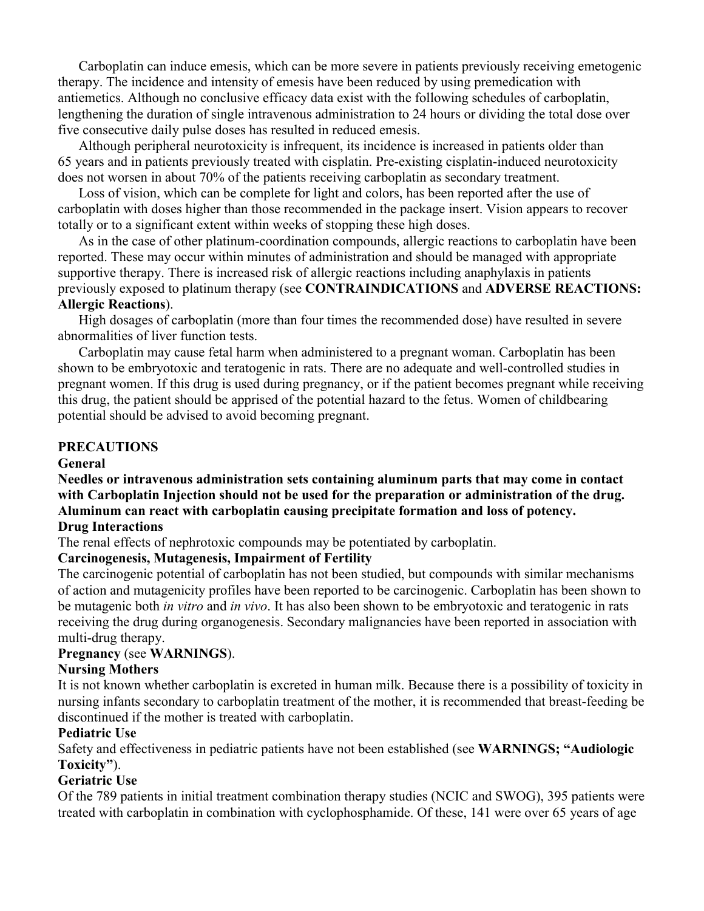Carboplatin can induce emesis, which can be more severe in patients previously receiving emetogenic therapy. The incidence and intensity of emesis have been reduced by using premedication with antiemetics. Although no conclusive efficacy data exist with the following schedules of carboplatin, lengthening the duration of single intravenous administration to 24 hours or dividing the total dose over five consecutive daily pulse doses has resulted in reduced emesis.

Although peripheral neurotoxicity is infrequent, its incidence is increased in patients older than 65 years and in patients previously treated with cisplatin. Pre-existing cisplatin-induced neurotoxicity does not worsen in about 70% of the patients receiving carboplatin as secondary treatment.

Loss of vision, which can be complete for light and colors, has been reported after the use of carboplatin with doses higher than those recommended in the package insert. Vision appears to recover totally or to a significant extent within weeks of stopping these high doses.

As in the case of other platinum-coordination compounds, allergic reactions to carboplatin have been reported. These may occur within minutes of administration and should be managed with appropriate supportive therapy. There is increased risk of allergic reactions including anaphylaxis in patients previously exposed to platinum therapy (see **CONTRAINDICATIONS** and **ADVERSE REACTIONS: Allergic Reactions**).

High dosages of carboplatin (more than four times the recommended dose) have resulted in severe abnormalities of liver function tests.

Carboplatin may cause fetal harm when administered to a pregnant woman. Carboplatin has been shown to be embryotoxic and teratogenic in rats. There are no adequate and well-controlled studies in pregnant women. If this drug is used during pregnancy, or if the patient becomes pregnant while receiving this drug, the patient should be apprised of the potential hazard to the fetus. Women of childbearing potential should be advised to avoid becoming pregnant.

## **PRECAUTIONS**

### **General**

**Needles or intravenous administration sets containing aluminum parts that may come in contact with Carboplatin Injection should not be used for the preparation or administration of the drug. Aluminum can react with carboplatin causing precipitate formation and loss of potency. Drug Interactions**

The renal effects of nephrotoxic compounds may be potentiated by carboplatin.

## **Carcinogenesis, Mutagenesis, Impairment of Fertility**

The carcinogenic potential of carboplatin has not been studied, but compounds with similar mechanisms of action and mutagenicity profiles have been reported to be carcinogenic. Carboplatin has been shown to be mutagenic both *in vitro* and *in vivo*. It has also been shown to be embryotoxic and teratogenic in rats receiving the drug during organogenesis. Secondary malignancies have been reported in association with multi-drug therapy.

## **Pregnancy** (see **WARNINGS**).

## **Nursing Mothers**

It is not known whether carboplatin is excreted in human milk. Because there is a possibility of toxicity in nursing infants secondary to carboplatin treatment of the mother, it is recommended that breast-feeding be discontinued if the mother is treated with carboplatin.

## **Pediatric Use**

Safety and effectiveness in pediatric patients have not been established (see **WARNINGS; "Audiologic Toxicity"**).

## **Geriatric Use**

Of the 789 patients in initial treatment combination therapy studies (NCIC and SWOG), 395 patients were treated with carboplatin in combination with cyclophosphamide. Of these, 141 were over 65 years of age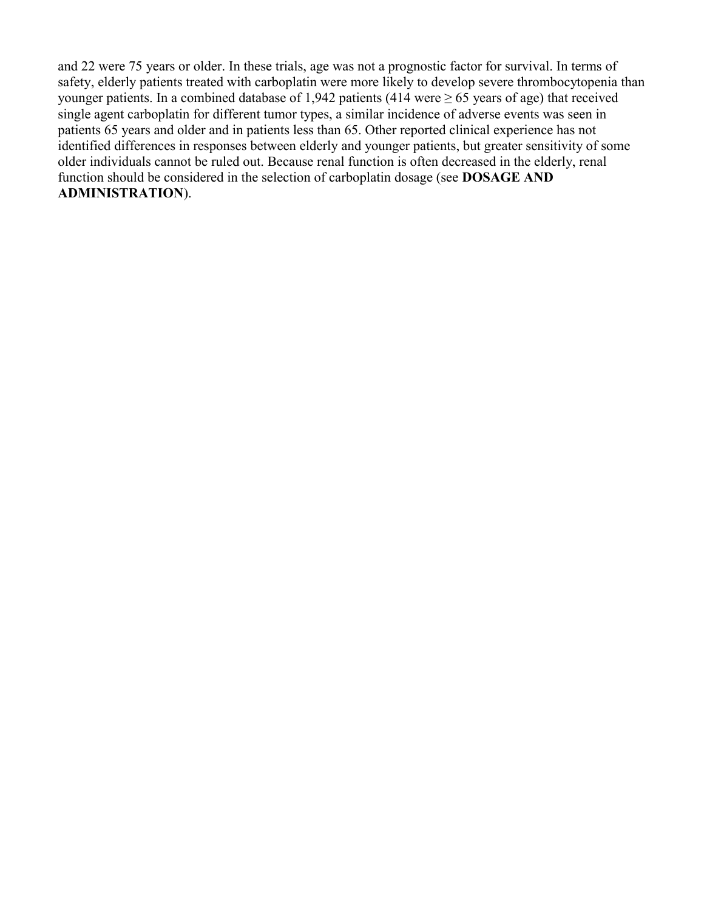and 22 were 75 years or older. In these trials, age was not a prognostic factor for survival. In terms of safety, elderly patients treated with carboplatin were more likely to develop severe thrombocytopenia than younger patients. In a combined database of 1,942 patients (414 were  $\geq$  65 years of age) that received single agent carboplatin for different tumor types, a similar incidence of adverse events was seen in patients 65 years and older and in patients less than 65. Other reported clinical experience has not identified differences in responses between elderly and younger patients, but greater sensitivity of some older individuals cannot be ruled out. Because renal function is often decreased in the elderly, renal function should be considered in the selection of carboplatin dosage (see **DOSAGE AND ADMINISTRATION**).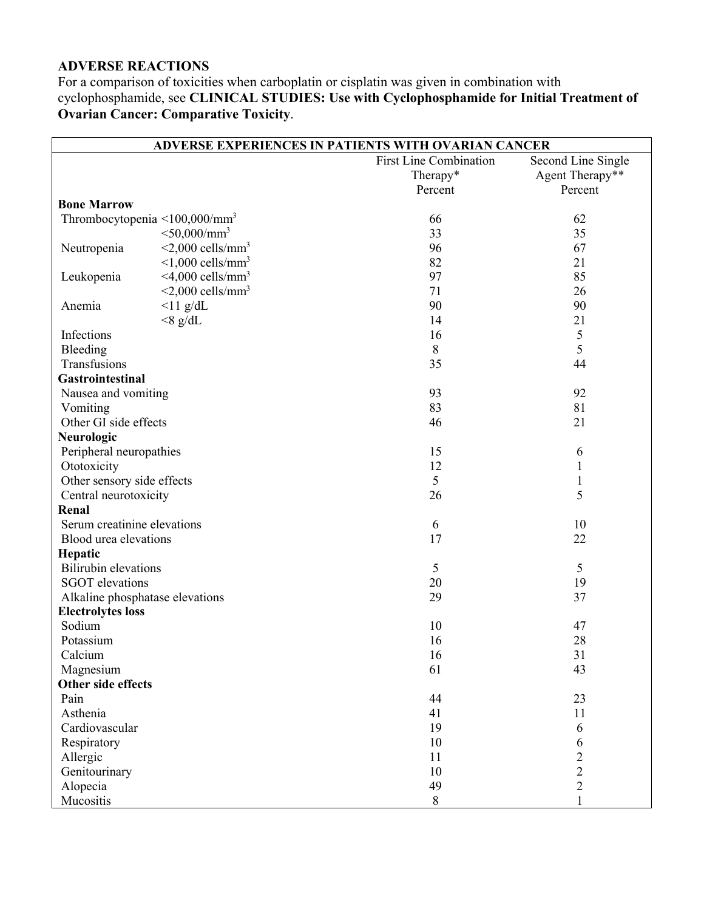## **ADVERSE REACTIONS**

For a comparison of toxicities when carboplatin or cisplatin was given in combination with cyclophosphamide, see **CLINICAL STUDIES: Use with Cyclophosphamide for Initial Treatment of Ovarian Cancer: Comparative Toxicity**.

| ADVERSE EXPERIENCES IN PATIENTS WITH OVARIAN CANCER |                                           |                               |                    |
|-----------------------------------------------------|-------------------------------------------|-------------------------------|--------------------|
|                                                     |                                           | <b>First Line Combination</b> | Second Line Single |
|                                                     |                                           | Therapy*                      | Agent Therapy**    |
|                                                     |                                           | Percent                       | Percent            |
| <b>Bone Marrow</b>                                  |                                           |                               |                    |
|                                                     | Thrombocytopenia <100,000/mm <sup>3</sup> | 66                            | 62                 |
|                                                     | $<$ 50,000/mm <sup>3</sup>                | 33                            | 35                 |
| Neutropenia                                         | $\leq$ 2,000 cells/mm <sup>3</sup>        | 96                            | 67                 |
|                                                     | $\leq 1,000$ cells/mm <sup>3</sup>        | 82                            | 21                 |
| Leukopenia                                          | $\leq$ 4,000 cells/mm <sup>3</sup>        | 97                            | 85                 |
|                                                     | $<$ 2,000 cells/mm <sup>3</sup>           | 71                            | 26                 |
| Anemia                                              | $<$ 11 g/dL                               | 90                            | 90                 |
|                                                     | $<8$ g/dL                                 | 14                            | 21                 |
| Infections                                          |                                           | 16                            | 5                  |
| Bleeding                                            |                                           | 8                             | 5                  |
| Transfusions                                        |                                           | 35                            | 44                 |
| Gastrointestinal                                    |                                           |                               |                    |
| Nausea and vomiting                                 |                                           | 93                            | 92                 |
| Vomiting                                            |                                           | 83                            | 81                 |
| Other GI side effects                               |                                           | 46                            | 21                 |
| Neurologic                                          |                                           |                               |                    |
| Peripheral neuropathies                             |                                           | 15                            | 6                  |
| Ototoxicity                                         |                                           | 12                            | $\mathbf 1$        |
| Other sensory side effects                          |                                           | 5                             | $\mathbf{1}$       |
| Central neurotoxicity                               |                                           | 26                            | 5                  |
| Renal                                               |                                           |                               |                    |
| Serum creatinine elevations                         |                                           | 6                             | 10                 |
| Blood urea elevations                               |                                           | 17                            | 22                 |
| Hepatic                                             |                                           |                               |                    |
| <b>Bilirubin</b> elevations                         |                                           | 5                             | 5                  |
| <b>SGOT</b> elevations                              |                                           | 20                            | 19                 |
| Alkaline phosphatase elevations                     |                                           | 29                            | 37                 |
| <b>Electrolytes loss</b>                            |                                           |                               |                    |
| Sodium                                              |                                           | 10                            | 47                 |
| Potassium                                           |                                           | 16                            | 28                 |
| Calcium                                             |                                           | 16                            | 31                 |
| Magnesium                                           |                                           | 61                            | 43                 |
| Other side effects                                  |                                           |                               |                    |
| Pain                                                |                                           | 44                            | 23                 |
| Asthenia                                            |                                           | 41                            | 11                 |
| Cardiovascular                                      |                                           | 19                            | 6                  |
| Respiratory                                         |                                           | 10                            | 6                  |
| Allergic                                            |                                           | 11                            |                    |
| Genitourinary                                       |                                           | 10                            | $\frac{2}{2}$      |
| Alopecia                                            |                                           | 49                            | $\overline{2}$     |
| Mucositis                                           |                                           | 8                             | $\mathbf{1}$       |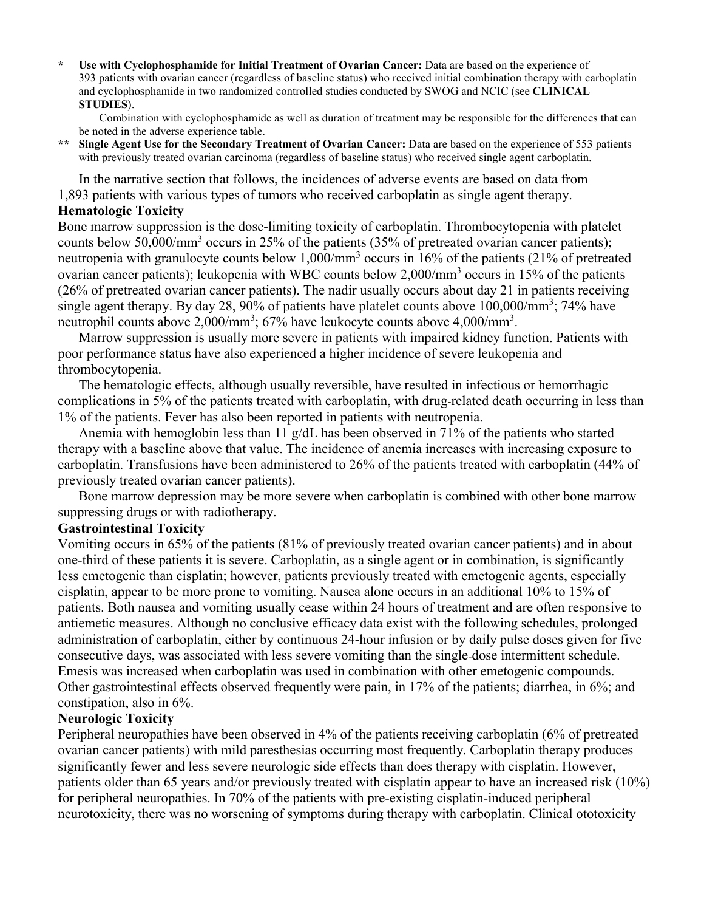**\* Use with Cyclophosphamide for Initial Treatment of Ovarian Cancer:** Data are based on the experience of 393 patients with ovarian cancer (regardless of baseline status) who received initial combination therapy with carboplatin and cyclophosphamide in two randomized controlled studies conducted by SWOG and NCIC (see **CLINICAL STUDIES**).

Combination with cyclophosphamide as well as duration of treatment may be responsible for the differences that can be noted in the adverse experience table.

**\*\* Single Agent Use for the Secondary Treatment of Ovarian Cancer:** Data are based on the experience of 553 patients with previously treated ovarian carcinoma (regardless of baseline status) who received single agent carboplatin.

In the narrative section that follows, the incidences of adverse events are based on data from 1,893 patients with various types of tumors who received carboplatin as single agent therapy.

#### **Hematologic Toxicity**

Bone marrow suppression is the dose-limiting toxicity of carboplatin. Thrombocytopenia with platelet counts below 50,000/mm<sup>3</sup> occurs in 25% of the patients (35% of pretreated ovarian cancer patients); neutropenia with granulocyte counts below  $1,000/\text{mm}^3$  occurs in 16% of the patients (21% of pretreated ovarian cancer patients); leukopenia with WBC counts below 2,000/mm<sup>3</sup> occurs in 15% of the patients (26% of pretreated ovarian cancer patients). The nadir usually occurs about day 21 in patients receiving single agent therapy. By day 28, 90% of patients have platelet counts above  $100,000/\text{mm}^3$ ; 74% have neutrophil counts above 2,000/mm<sup>3</sup>; 67% have leukocyte counts above 4,000/mm<sup>3</sup>.

Marrow suppression is usually more severe in patients with impaired kidney function. Patients with poor performance status have also experienced a higher incidence of severe leukopenia and thrombocytopenia.

The hematologic effects, although usually reversible, have resulted in infectious or hemorrhagic complications in 5% of the patients treated with carboplatin, with drug-related death occurring in less than 1% of the patients. Fever has also been reported in patients with neutropenia.

Anemia with hemoglobin less than 11 g/dL has been observed in 71% of the patients who started therapy with a baseline above that value. The incidence of anemia increases with increasing exposure to carboplatin. Transfusions have been administered to 26% of the patients treated with carboplatin (44% of previously treated ovarian cancer patients).

Bone marrow depression may be more severe when carboplatin is combined with other bone marrow suppressing drugs or with radiotherapy.

### **Gastrointestinal Toxicity**

Vomiting occurs in 65% of the patients (81% of previously treated ovarian cancer patients) and in about one-third of these patients it is severe. Carboplatin, as a single agent or in combination, is significantly less emetogenic than cisplatin; however, patients previously treated with emetogenic agents, especially cisplatin, appear to be more prone to vomiting. Nausea alone occurs in an additional 10% to 15% of patients. Both nausea and vomiting usually cease within 24 hours of treatment and are often responsive to antiemetic measures. Although no conclusive efficacy data exist with the following schedules, prolonged administration of carboplatin, either by continuous 24-hour infusion or by daily pulse doses given for five consecutive days, was associated with less severe vomiting than the single-dose intermittent schedule. Emesis was increased when carboplatin was used in combination with other emetogenic compounds. Other gastrointestinal effects observed frequently were pain, in 17% of the patients; diarrhea, in 6%; and constipation, also in 6%.

### **Neurologic Toxicity**

Peripheral neuropathies have been observed in 4% of the patients receiving carboplatin (6% of pretreated ovarian cancer patients) with mild paresthesias occurring most frequently. Carboplatin therapy produces significantly fewer and less severe neurologic side effects than does therapy with cisplatin. However, patients older than 65 years and/or previously treated with cisplatin appear to have an increased risk (10%) for peripheral neuropathies. In 70% of the patients with pre-existing cisplatin-induced peripheral neurotoxicity, there was no worsening of symptoms during therapy with carboplatin. Clinical ototoxicity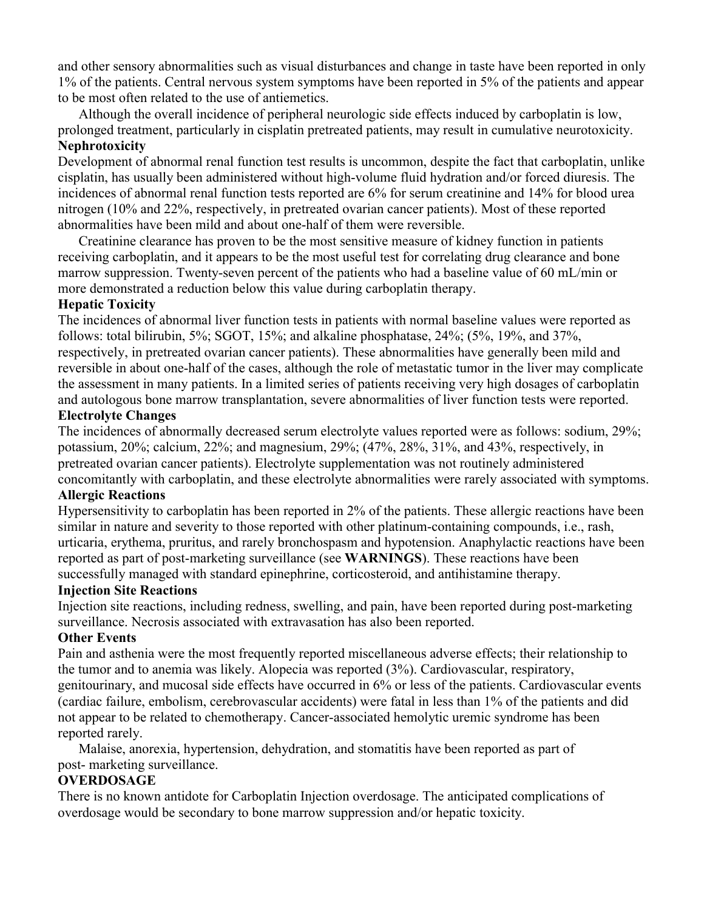and other sensory abnormalities such as visual disturbances and change in taste have been reported in only 1% of the patients. Central nervous system symptoms have been reported in 5% of the patients and appear to be most often related to the use of antiemetics.

Although the overall incidence of peripheral neurologic side effects induced by carboplatin is low, prolonged treatment, particularly in cisplatin pretreated patients, may result in cumulative neurotoxicity. **Nephrotoxicity**

Development of abnormal renal function test results is uncommon, despite the fact that carboplatin, unlike cisplatin, has usually been administered without high-volume fluid hydration and/or forced diuresis. The incidences of abnormal renal function tests reported are 6% for serum creatinine and 14% for blood urea nitrogen (10% and 22%, respectively, in pretreated ovarian cancer patients). Most of these reported abnormalities have been mild and about one-half of them were reversible.

Creatinine clearance has proven to be the most sensitive measure of kidney function in patients receiving carboplatin, and it appears to be the most useful test for correlating drug clearance and bone marrow suppression. Twenty-seven percent of the patients who had a baseline value of 60 mL/min or more demonstrated a reduction below this value during carboplatin therapy.

### **Hepatic Toxicity**

The incidences of abnormal liver function tests in patients with normal baseline values were reported as follows: total bilirubin, 5%; SGOT, 15%; and alkaline phosphatase, 24%; (5%, 19%, and 37%, respectively, in pretreated ovarian cancer patients). These abnormalities have generally been mild and reversible in about one-half of the cases, although the role of metastatic tumor in the liver may complicate the assessment in many patients. In a limited series of patients receiving very high dosages of carboplatin and autologous bone marrow transplantation, severe abnormalities of liver function tests were reported.

### **Electrolyte Changes**

The incidences of abnormally decreased serum electrolyte values reported were as follows: sodium, 29%; potassium, 20%; calcium, 22%; and magnesium, 29%; (47%, 28%, 31%, and 43%, respectively, in pretreated ovarian cancer patients). Electrolyte supplementation was not routinely administered concomitantly with carboplatin, and these electrolyte abnormalities were rarely associated with symptoms.

## **Allergic Reactions**

Hypersensitivity to carboplatin has been reported in 2% of the patients. These allergic reactions have been similar in nature and severity to those reported with other platinum-containing compounds, i.e., rash, urticaria, erythema, pruritus, and rarely bronchospasm and hypotension. Anaphylactic reactions have been reported as part of post-marketing surveillance (see **WARNINGS**). These reactions have been successfully managed with standard epinephrine, corticosteroid, and antihistamine therapy.

## **Injection Site Reactions**

Injection site reactions, including redness, swelling, and pain, have been reported during post-marketing surveillance. Necrosis associated with extravasation has also been reported.

## **Other Events**

Pain and asthenia were the most frequently reported miscellaneous adverse effects; their relationship to the tumor and to anemia was likely. Alopecia was reported (3%). Cardiovascular, respiratory, genitourinary, and mucosal side effects have occurred in 6% or less of the patients. Cardiovascular events (cardiac failure, embolism, cerebrovascular accidents) were fatal in less than 1% of the patients and did not appear to be related to chemotherapy. Cancer-associated hemolytic uremic syndrome has been reported rarely.

Malaise, anorexia, hypertension, dehydration, and stomatitis have been reported as part of post- marketing surveillance.

## **OVERDOSAGE**

There is no known antidote for Carboplatin Injection overdosage. The anticipated complications of overdosage would be secondary to bone marrow suppression and/or hepatic toxicity.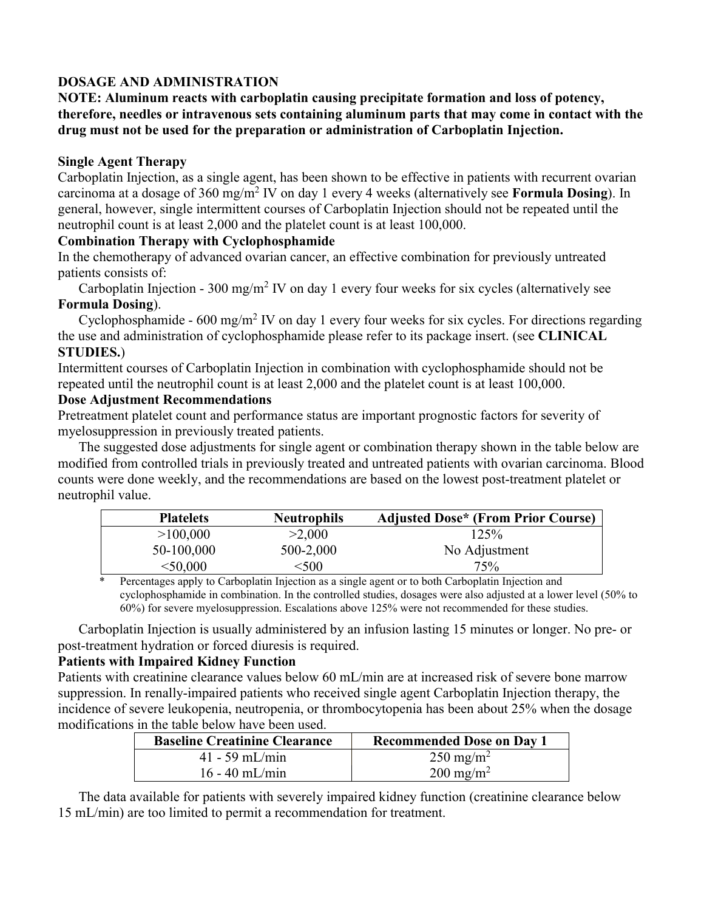## **DOSAGE AND ADMINISTRATION**

**NOTE: Aluminum reacts with carboplatin causing precipitate formation and loss of potency, therefore, needles or intravenous sets containing aluminum parts that may come in contact with the drug must not be used for the preparation or administration of Carboplatin Injection.**

## **Single Agent Therapy**

Carboplatin Injection, as a single agent, has been shown to be effective in patients with recurrent ovarian carcinoma at a dosage of 360 mg/m<sup>2</sup> IV on day 1 every 4 weeks (alternatively see **Formula Dosing**). In general, however, single intermittent courses of Carboplatin Injection should not be repeated until the neutrophil count is at least 2,000 and the platelet count is at least 100,000.

## **Combination Therapy with Cyclophosphamide**

In the chemotherapy of advanced ovarian cancer, an effective combination for previously untreated patients consists of:

Carboplatin Injection - 300 mg/m<sup>2</sup> IV on day 1 every four weeks for six cycles (alternatively see **Formula Dosing**).

Cyclophosphamide -  $600 \text{ mg/m}^2$  IV on day 1 every four weeks for six cycles. For directions regarding the use and administration of cyclophosphamide please refer to its package insert. (see **CLINICAL STUDIES.**)

Intermittent courses of Carboplatin Injection in combination with cyclophosphamide should not be repeated until the neutrophil count is at least 2,000 and the platelet count is at least 100,000.

### **Dose Adjustment Recommendations**

Pretreatment platelet count and performance status are important prognostic factors for severity of myelosuppression in previously treated patients.

The suggested dose adjustments for single agent or combination therapy shown in the table below are modified from controlled trials in previously treated and untreated patients with ovarian carcinoma. Blood counts were done weekly, and the recommendations are based on the lowest post-treatment platelet or neutrophil value.

| <b>Platelets</b> | <b>Neutrophils</b> | <b>Adjusted Dose* (From Prior Course)</b> |
|------------------|--------------------|-------------------------------------------|
| >100,000         | >2,000             | 125%                                      |
| 50-100,000       | 500-2,000          | No Adjustment                             |
| $< \! 50,\!000$  | 5500               | 75%                                       |

Percentages apply to Carboplatin Injection as a single agent or to both Carboplatin Injection and cyclophosphamide in combination. In the controlled studies, dosages were also adjusted at a lower level (50% to 60%) for severe myelosuppression. Escalations above 125% were not recommended for these studies.

Carboplatin Injection is usually administered by an infusion lasting 15 minutes or longer. No pre- or post-treatment hydration or forced diuresis is required.

### **Patients with Impaired Kidney Function**

Patients with creatinine clearance values below 60 mL/min are at increased risk of severe bone marrow suppression. In renally-impaired patients who received single agent Carboplatin Injection therapy, the incidence of severe leukopenia, neutropenia, or thrombocytopenia has been about 25% when the dosage modifications in the table below have been used.

| <b>Baseline Creatinine Clearance</b> | <b>Recommended Dose on Day 1</b> |
|--------------------------------------|----------------------------------|
| $41 - 59$ mL/min                     | $250 \text{ mg/m}^2$             |
| $16 - 40$ mL/min                     | $200 \text{ mg/m}^2$             |

The data available for patients with severely impaired kidney function (creatinine clearance below 15 mL/min) are too limited to permit a recommendation for treatment.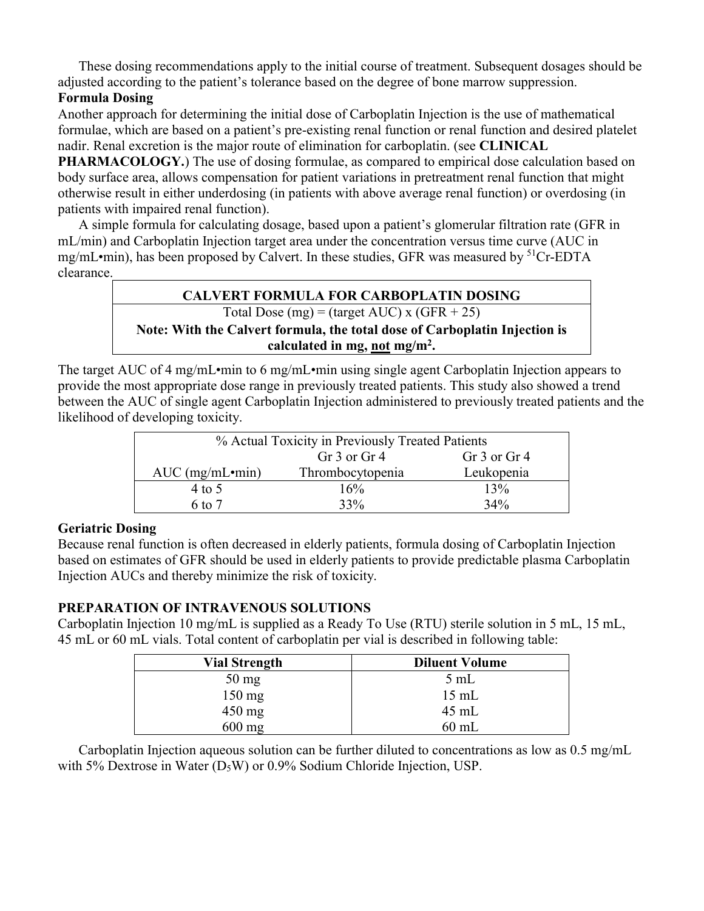These dosing recommendations apply to the initial course of treatment. Subsequent dosages should be adjusted according to the patient's tolerance based on the degree of bone marrow suppression.

## **Formula Dosing**

Another approach for determining the initial dose of Carboplatin Injection is the use of mathematical formulae, which are based on a patient's pre-existing renal function or renal function and desired platelet nadir. Renal excretion is the major route of elimination for carboplatin. (see **CLINICAL**

**PHARMACOLOGY.**) The use of dosing formulae, as compared to empirical dose calculation based on body surface area, allows compensation for patient variations in pretreatment renal function that might otherwise result in either underdosing (in patients with above average renal function) or overdosing (in patients with impaired renal function).

A simple formula for calculating dosage, based upon a patient's glomerular filtration rate (GFR in mL/min) and Carboplatin Injection target area under the concentration versus time curve (AUC in mg/mL•min), has been proposed by Calvert. In these studies, GFR was measured by  ${}^{51}$ Cr-EDTA clearance.

## **CALVERT FORMULA FOR CARBOPLATIN DOSING**

Total Dose (mg) = (target AUC) x (GFR + 25)

## **Note: With the Calvert formula, the total dose of Carboplatin Injection is calculated in mg, not mg/m<sup>2</sup> .**

The target AUC of 4 mg/mL•min to 6 mg/mL•min using single agent Carboplatin Injection appears to provide the most appropriate dose range in previously treated patients. This study also showed a trend between the AUC of single agent Carboplatin Injection administered to previously treated patients and the likelihood of developing toxicity.

| % Actual Toxicity in Previously Treated Patients |                  |                  |
|--------------------------------------------------|------------------|------------------|
|                                                  | Gr $3$ or Gr $4$ | Gr $3$ or Gr $4$ |
| $AUC$ (mg/mL $\cdot$ min)                        | Thrombocytopenia | Leukopenia       |
| $4$ to 5                                         | 16%              | 13%              |
| 6 to 7                                           | 33%              | 34%              |

## **Geriatric Dosing**

Because renal function is often decreased in elderly patients, formula dosing of Carboplatin Injection based on estimates of GFR should be used in elderly patients to provide predictable plasma Carboplatin Injection AUCs and thereby minimize the risk of toxicity.

## **PREPARATION OF INTRAVENOUS SOLUTIONS**

Carboplatin Injection 10 mg/mL is supplied as a Ready To Use (RTU) sterile solution in 5 mL, 15 mL, 45 mL or 60 mL vials. Total content of carboplatin per vial is described in following table:

| <b>Vial Strength</b> | <b>Diluent Volume</b> |
|----------------------|-----------------------|
| $50 \text{ mg}$      | $5 \text{ mL}$        |
| $150 \text{ mg}$     | $15 \text{ mL}$       |
| $450 \text{ mg}$     | $45 \text{ mL}$       |
| $600$ mg             | $60$ mL               |

Carboplatin Injection aqueous solution can be further diluted to concentrations as low as 0.5 mg/mL with 5% Dextrose in Water ( $D_5W$ ) or 0.9% Sodium Chloride Injection, USP.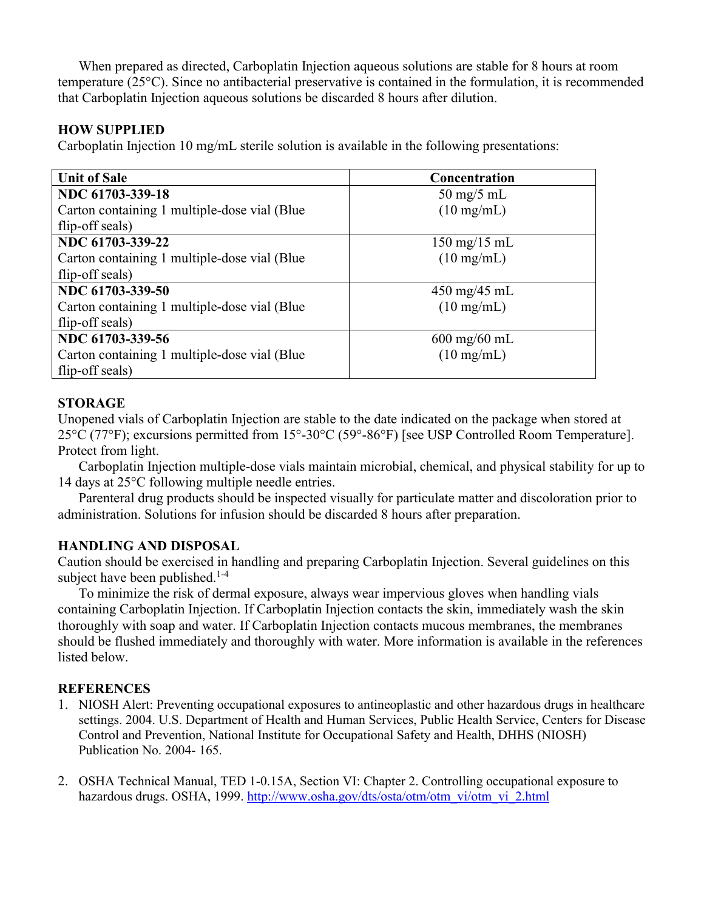When prepared as directed, Carboplatin Injection aqueous solutions are stable for 8 hours at room temperature (25°C). Since no antibacterial preservative is contained in the formulation, it is recommended that Carboplatin Injection aqueous solutions be discarded 8 hours after dilution.

## **HOW SUPPLIED**

Carboplatin Injection 10 mg/mL sterile solution is available in the following presentations:

| <b>Unit of Sale</b>                           | Concentration                  |
|-----------------------------------------------|--------------------------------|
| NDC 61703-339-18                              | $50 \text{ mg}/5 \text{ mL}$   |
| Carton containing 1 multiple-dose vial (Blue) | $(10 \text{ mg/mL})$           |
| flip-off seals)                               |                                |
| NDC 61703-339-22                              | $150 \text{ mg}/15 \text{ mL}$ |
| Carton containing 1 multiple-dose vial (Blue) | $(10 \text{ mg/mL})$           |
| flip-off seals)                               |                                |
| NDC 61703-339-50                              | $450 \text{ mg}/45 \text{ mL}$ |
| Carton containing 1 multiple-dose vial (Blue) | $(10 \text{ mg/mL})$           |
| flip-off seals)                               |                                |
| NDC 61703-339-56                              | $600 \text{ mg}/60 \text{ mL}$ |
| Carton containing 1 multiple-dose vial (Blue  | $(10 \text{ mg/mL})$           |
| flip-off seals)                               |                                |

## **STORAGE**

Unopened vials of Carboplatin Injection are stable to the date indicated on the package when stored at 25°C (77°F); excursions permitted from 15°-30°C (59°-86°F) [see USP Controlled Room Temperature]. Protect from light.

Carboplatin Injection multiple-dose vials maintain microbial, chemical, and physical stability for up to 14 days at 25°C following multiple needle entries.

Parenteral drug products should be inspected visually for particulate matter and discoloration prior to administration. Solutions for infusion should be discarded 8 hours after preparation.

## **HANDLING AND DISPOSAL**

Caution should be exercised in handling and preparing Carboplatin Injection. Several guidelines on this subject have been published.<sup>1-4</sup>

To minimize the risk of dermal exposure, always wear impervious gloves when handling vials containing Carboplatin Injection. If Carboplatin Injection contacts the skin, immediately wash the skin thoroughly with soap and water. If Carboplatin Injection contacts mucous membranes, the membranes should be flushed immediately and thoroughly with water. More information is available in the references listed below.

## **REFERENCES**

- 1. NIOSH Alert: Preventing occupational exposures to antineoplastic and other hazardous drugs in healthcare settings. 2004. U.S. Department of Health and Human Services, Public Health Service, Centers for Disease Control and Prevention, National Institute for Occupational Safety and Health, DHHS (NIOSH) Publication No. 2004- 165.
- 2. OSHA Technical Manual, TED 1-0.15A, Section VI: Chapter 2. Controlling occupational exposure to hazardous drugs. OSHA, 1999. [http://www.osha.gov/dts/osta/otm/otm\\_vi/otm\\_vi\\_2.html](http://www.osha.gov/dts/osta/otm/otm_vi/otm_vi_2.html)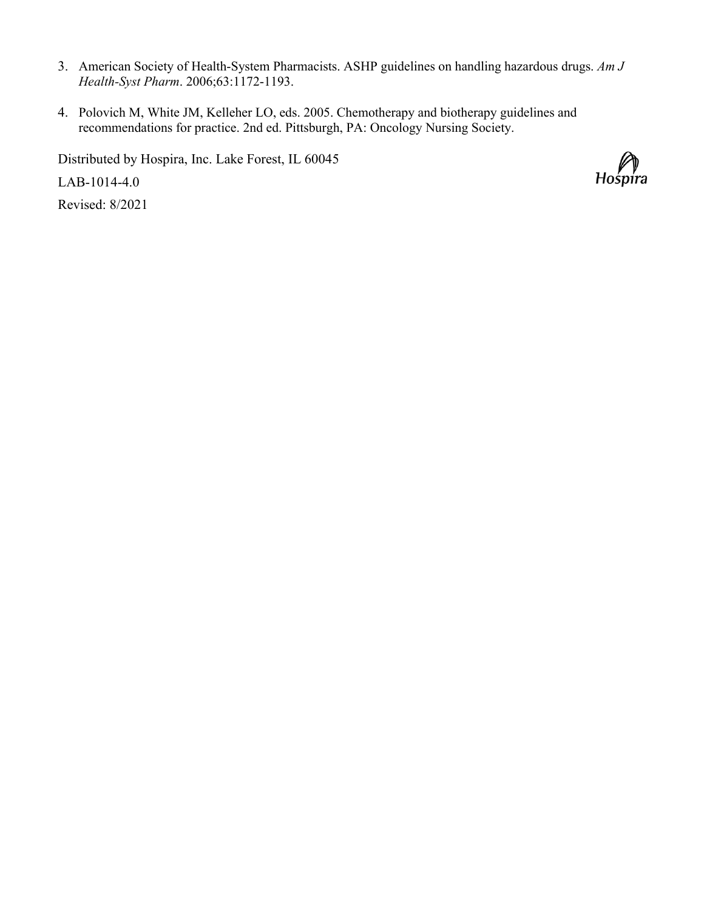- 3. American Society of Health-System Pharmacists. ASHP guidelines on handling hazardous drugs. *Am J Health-Syst Pharm*. 2006;63:1172-1193.
- 4. Polovich M, White JM, Kelleher LO, eds. 2005. Chemotherapy and biotherapy guidelines and recommendations for practice. 2nd ed. Pittsburgh, PA: Oncology Nursing Society.

Distributed by Hospira, Inc. Lake Forest, IL 60045

LAB-1014-4.0

Revised: 8/2021

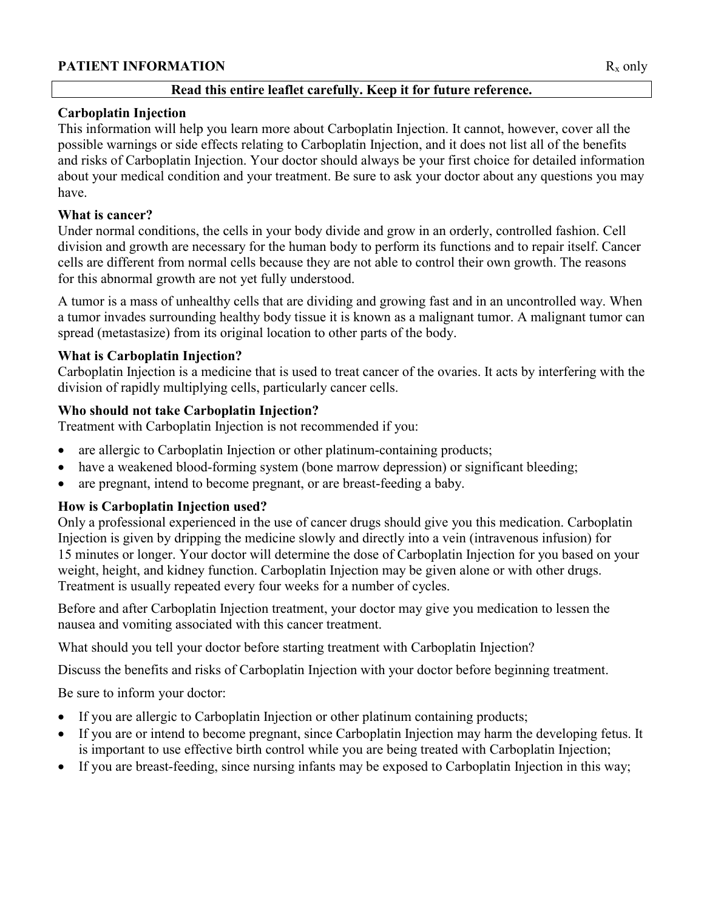## **PATIENT INFORMATION** R<sub>x</sub> only

### **Read this entire leaflet carefully. Keep it for future reference.**

### **Carboplatin Injection**

This information will help you learn more about Carboplatin Injection. It cannot, however, cover all the possible warnings or side effects relating to Carboplatin Injection, and it does not list all of the benefits and risks of Carboplatin Injection. Your doctor should always be your first choice for detailed information about your medical condition and your treatment. Be sure to ask your doctor about any questions you may have.

### **What is cancer?**

Under normal conditions, the cells in your body divide and grow in an orderly, controlled fashion. Cell division and growth are necessary for the human body to perform its functions and to repair itself. Cancer cells are different from normal cells because they are not able to control their own growth. The reasons for this abnormal growth are not yet fully understood.

A tumor is a mass of unhealthy cells that are dividing and growing fast and in an uncontrolled way. When a tumor invades surrounding healthy body tissue it is known as a malignant tumor. A malignant tumor can spread (metastasize) from its original location to other parts of the body.

### **What is Carboplatin Injection?**

Carboplatin Injection is a medicine that is used to treat cancer of the ovaries. It acts by interfering with the division of rapidly multiplying cells, particularly cancer cells.

### **Who should not take Carboplatin Injection?**

Treatment with Carboplatin Injection is not recommended if you:

- are allergic to Carboplatin Injection or other platinum-containing products;
- have a weakened blood-forming system (bone marrow depression) or significant bleeding;
- are pregnant, intend to become pregnant, or are breast-feeding a baby.

## **How is Carboplatin Injection used?**

Only a professional experienced in the use of cancer drugs should give you this medication. Carboplatin Injection is given by dripping the medicine slowly and directly into a vein (intravenous infusion) for 15 minutes or longer. Your doctor will determine the dose of Carboplatin Injection for you based on your weight, height, and kidney function. Carboplatin Injection may be given alone or with other drugs. Treatment is usually repeated every four weeks for a number of cycles.

Before and after Carboplatin Injection treatment, your doctor may give you medication to lessen the nausea and vomiting associated with this cancer treatment.

What should you tell your doctor before starting treatment with Carboplatin Injection?

Discuss the benefits and risks of Carboplatin Injection with your doctor before beginning treatment.

Be sure to inform your doctor:

- If you are allergic to Carboplatin Injection or other platinum containing products;
- If you are or intend to become pregnant, since Carboplatin Injection may harm the developing fetus. It is important to use effective birth control while you are being treated with Carboplatin Injection;
- If you are breast-feeding, since nursing infants may be exposed to Carboplatin Injection in this way;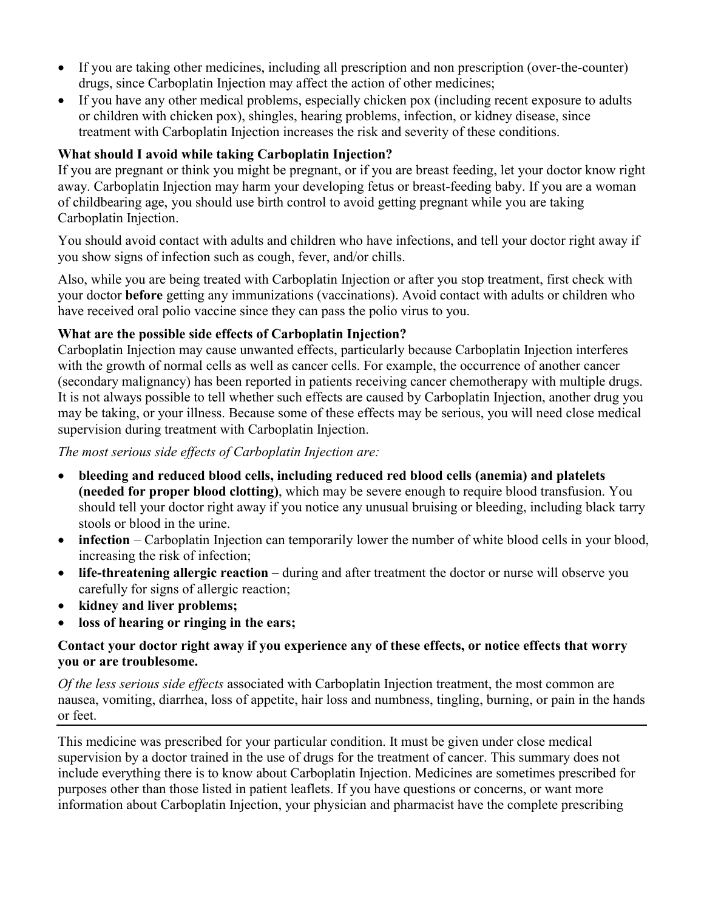- If you are taking other medicines, including all prescription and non prescription (over-the-counter) drugs, since Carboplatin Injection may affect the action of other medicines;
- If you have any other medical problems, especially chicken pox (including recent exposure to adults or children with chicken pox), shingles, hearing problems, infection, or kidney disease, since treatment with Carboplatin Injection increases the risk and severity of these conditions.

## **What should I avoid while taking Carboplatin Injection?**

If you are pregnant or think you might be pregnant, or if you are breast feeding, let your doctor know right away. Carboplatin Injection may harm your developing fetus or breast-feeding baby. If you are a woman of childbearing age, you should use birth control to avoid getting pregnant while you are taking Carboplatin Injection.

You should avoid contact with adults and children who have infections, and tell your doctor right away if you show signs of infection such as cough, fever, and/or chills.

Also, while you are being treated with Carboplatin Injection or after you stop treatment, first check with your doctor **before** getting any immunizations (vaccinations). Avoid contact with adults or children who have received oral polio vaccine since they can pass the polio virus to you.

## **What are the possible side effects of Carboplatin Injection?**

Carboplatin Injection may cause unwanted effects, particularly because Carboplatin Injection interferes with the growth of normal cells as well as cancer cells. For example, the occurrence of another cancer (secondary malignancy) has been reported in patients receiving cancer chemotherapy with multiple drugs. It is not always possible to tell whether such effects are caused by Carboplatin Injection, another drug you may be taking, or your illness. Because some of these effects may be serious, you will need close medical supervision during treatment with Carboplatin Injection.

*The most serious side effects of Carboplatin Injection are:*

- **bleeding and reduced blood cells, including reduced red blood cells (anemia) and platelets (needed for proper blood clotting)**, which may be severe enough to require blood transfusion. You should tell your doctor right away if you notice any unusual bruising or bleeding, including black tarry stools or blood in the urine.
- **infection** Carboplatin Injection can temporarily lower the number of white blood cells in your blood, increasing the risk of infection;
- **life-threatening allergic reaction** during and after treatment the doctor or nurse will observe you carefully for signs of allergic reaction;
- **kidney and liver problems;**
- **loss of hearing or ringing in the ears;**

## **Contact your doctor right away if you experience any of these effects, or notice effects that worry you or are troublesome.**

*Of the less serious side effects* associated with Carboplatin Injection treatment, the most common are nausea, vomiting, diarrhea, loss of appetite, hair loss and numbness, tingling, burning, or pain in the hands or feet.

This medicine was prescribed for your particular condition. It must be given under close medical supervision by a doctor trained in the use of drugs for the treatment of cancer. This summary does not include everything there is to know about Carboplatin Injection. Medicines are sometimes prescribed for purposes other than those listed in patient leaflets. If you have questions or concerns, or want more information about Carboplatin Injection, your physician and pharmacist have the complete prescribing